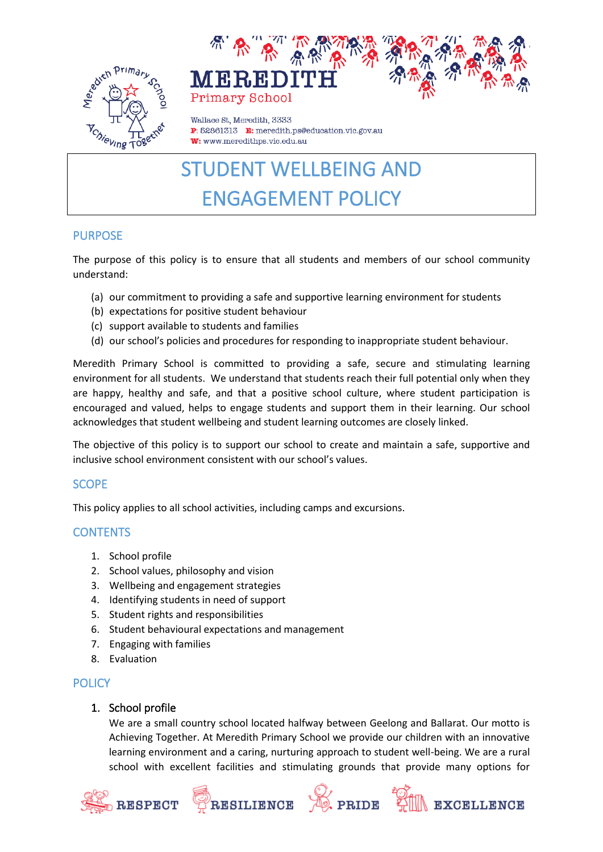



Wallace St. Meredith, 3333 P: 52861313 E: meredith.ps@education.vic.gov.au W: www.meredithps.vic.edu.au

# STUDENT WELLBEING AND ENGAGEMENT POLICY

## PURPOSE

The purpose of this policy is to ensure that all students and members of our school community understand:

- (a) our commitment to providing a safe and supportive learning environment for students
- (b) expectations for positive student behaviour
- (c) support available to students and families
- (d) our school's policies and procedures for responding to inappropriate student behaviour.

Meredith Primary School is committed to providing a safe, secure and stimulating learning environment for all students. We understand that students reach their full potential only when they are happy, healthy and safe, and that a positive school culture, where student participation is encouraged and valued, helps to engage students and support them in their learning. Our school acknowledges that student wellbeing and student learning outcomes are closely linked.

The objective of this policy is to support our school to create and maintain a safe, supportive and inclusive school environment consistent with our school's values.

# SCOPE

This policy applies to all school activities, including camps and excursions.

# **CONTENTS**

- 1. School profile
- 2. School values, philosophy and vision
- 3. Wellbeing and engagement strategies
- 4. Identifying students in need of support
- 5. Student rights and responsibilities
- 6. Student behavioural expectations and management

RESILIENCE

- 7. Engaging with families
- 8. Evaluation

# **POLICY**

# 1. School profile

We are a small country school located halfway between Geelong and Ballarat. Our motto is Achieving Together. At Meredith Primary School we provide our children with an innovative learning environment and a caring, nurturing approach to student well-being. We are a rural school with excellent facilities and stimulating grounds that provide many options for

**D** PRIDE

EXCELLENCE

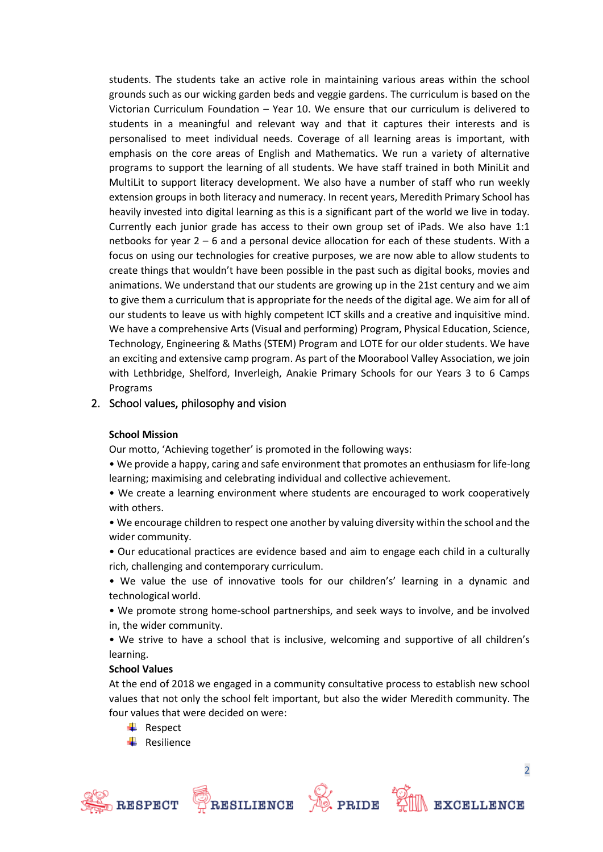students. The students take an active role in maintaining various areas within the school grounds such as our wicking garden beds and veggie gardens. The curriculum is based on the Victorian Curriculum Foundation – Year 10. We ensure that our curriculum is delivered to students in a meaningful and relevant way and that it captures their interests and is personalised to meet individual needs. Coverage of all learning areas is important, with emphasis on the core areas of English and Mathematics. We run a variety of alternative programs to support the learning of all students. We have staff trained in both MiniLit and MultiLit to support literacy development. We also have a number of staff who run weekly extension groups in both literacy and numeracy. In recent years, Meredith Primary School has heavily invested into digital learning as this is a significant part of the world we live in today. Currently each junior grade has access to their own group set of iPads. We also have 1:1 netbooks for year 2 – 6 and a personal device allocation for each of these students. With a focus on using our technologies for creative purposes, we are now able to allow students to create things that wouldn't have been possible in the past such as digital books, movies and animations. We understand that our students are growing up in the 21st century and we aim to give them a curriculum that is appropriate for the needs of the digital age. We aim for all of our students to leave us with highly competent ICT skills and a creative and inquisitive mind. We have a comprehensive Arts (Visual and performing) Program, Physical Education, Science, Technology, Engineering & Maths (STEM) Program and LOTE for our older students. We have an exciting and extensive camp program. As part of the Moorabool Valley Association, we join with Lethbridge, Shelford, Inverleigh, Anakie Primary Schools for our Years 3 to 6 Camps Programs

## 2. School values, philosophy and vision

#### **School Mission**

Our motto, 'Achieving together' is promoted in the following ways:

• We provide a happy, caring and safe environment that promotes an enthusiasm for life-long learning; maximising and celebrating individual and collective achievement.

• We create a learning environment where students are encouraged to work cooperatively with others.

• We encourage children to respect one another by valuing diversity within the school and the wider community.

• Our educational practices are evidence based and aim to engage each child in a culturally rich, challenging and contemporary curriculum.

• We value the use of innovative tools for our children's' learning in a dynamic and technological world.

• We promote strong home-school partnerships, and seek ways to involve, and be involved in, the wider community.

• We strive to have a school that is inclusive, welcoming and supportive of all children's learning.

#### **School Values**

At the end of 2018 we engaged in a community consultative process to establish new school values that not only the school felt important, but also the wider Meredith community. The four values that were decided on were:

- $\leftarrow$  Respect
- $\leftarrow$  Resilience







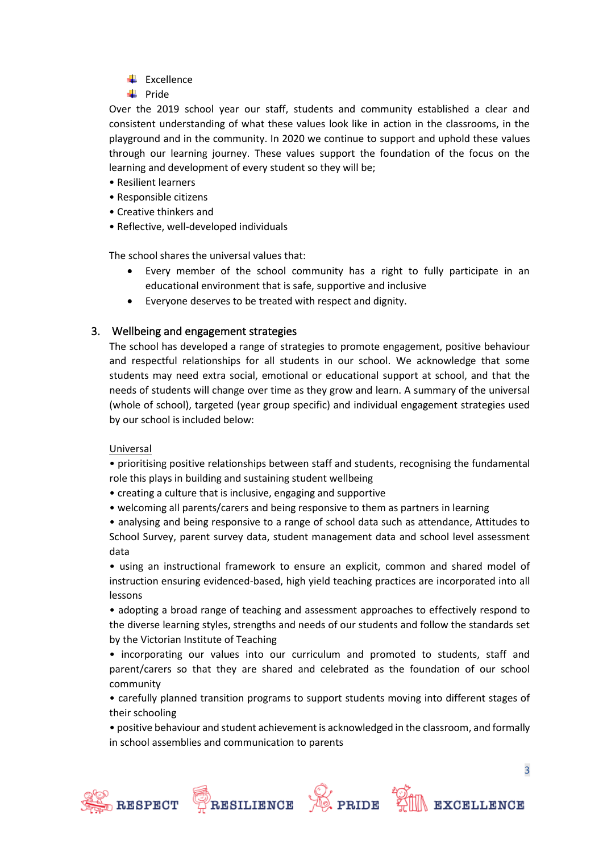- $\leftarrow$  Excellence
- $\blacksquare$  Pride

Over the 2019 school year our staff, students and community established a clear and consistent understanding of what these values look like in action in the classrooms, in the playground and in the community. In 2020 we continue to support and uphold these values through our learning journey. These values support the foundation of the focus on the learning and development of every student so they will be;

- Resilient learners
- Responsible citizens
- Creative thinkers and
- Reflective, well-developed individuals

The school shares the universal values that:

- Every member of the school community has a right to fully participate in an educational environment that is safe, supportive and inclusive
- Everyone deserves to be treated with respect and dignity.

# 3. Wellbeing and engagement strategies

The school has developed a range of strategies to promote engagement, positive behaviour and respectful relationships for all students in our school. We acknowledge that some students may need extra social, emotional or educational support at school, and that the needs of students will change over time as they grow and learn. A summary of the universal (whole of school), targeted (year group specific) and individual engagement strategies used by our school is included below:

## Universal

• prioritising positive relationships between staff and students, recognising the fundamental role this plays in building and sustaining student wellbeing

- creating a culture that is inclusive, engaging and supportive
- welcoming all parents/carers and being responsive to them as partners in learning

• analysing and being responsive to a range of school data such as attendance, Attitudes to School Survey, parent survey data, student management data and school level assessment data

• using an instructional framework to ensure an explicit, common and shared model of instruction ensuring evidenced-based, high yield teaching practices are incorporated into all lessons

• adopting a broad range of teaching and assessment approaches to effectively respond to the diverse learning styles, strengths and needs of our students and follow the standards set by the Victorian Institute of Teaching

• incorporating our values into our curriculum and promoted to students, staff and parent/carers so that they are shared and celebrated as the foundation of our school community

• carefully planned transition programs to support students moving into different stages of their schooling

• positive behaviour and student achievement is acknowledged in the classroom, and formally in school assemblies and communication to parents







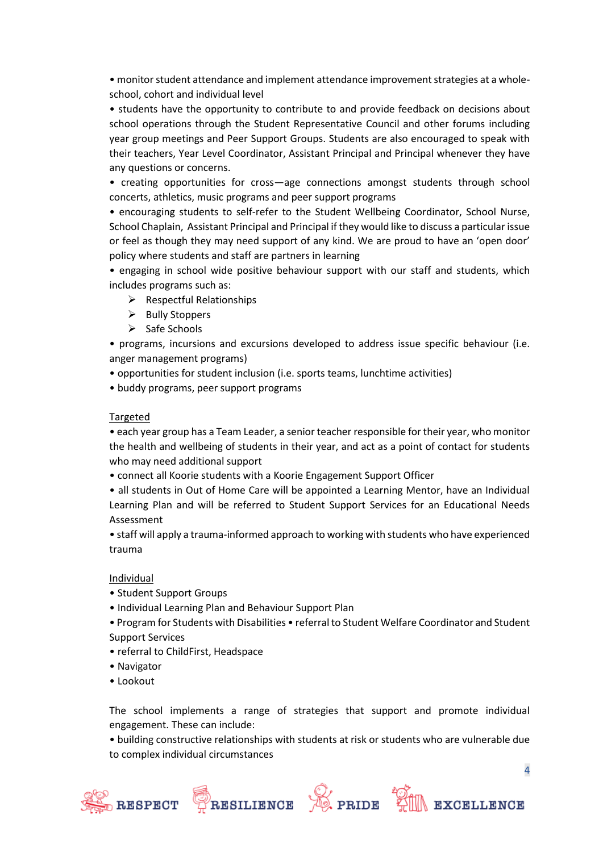• monitor student attendance and implement attendance improvement strategies at a wholeschool, cohort and individual level

• students have the opportunity to contribute to and provide feedback on decisions about school operations through the Student Representative Council and other forums including year group meetings and Peer Support Groups. Students are also encouraged to speak with their teachers, Year Level Coordinator, Assistant Principal and Principal whenever they have any questions or concerns.

• creating opportunities for cross—age connections amongst students through school concerts, athletics, music programs and peer support programs

• encouraging students to self-refer to the Student Wellbeing Coordinator, School Nurse, School Chaplain, Assistant Principal and Principal if they would like to discuss a particular issue or feel as though they may need support of any kind. We are proud to have an 'open door' policy where students and staff are partners in learning

• engaging in school wide positive behaviour support with our staff and students, which includes programs such as:

- $\triangleright$  Respectful Relationships
- ➢ Bully Stoppers
- ➢ Safe Schools

• programs, incursions and excursions developed to address issue specific behaviour (i.e. anger management programs)

- opportunities for student inclusion (i.e. sports teams, lunchtime activities)
- buddy programs, peer support programs

#### Targeted

• each year group has a Team Leader, a senior teacher responsible for their year, who monitor the health and wellbeing of students in their year, and act as a point of contact for students who may need additional support

• connect all Koorie students with a Koorie Engagement Support Officer

• all students in Out of Home Care will be appointed a Learning Mentor, have an Individual Learning Plan and will be referred to Student Support Services for an Educational Needs Assessment

• staff will apply a trauma-informed approach to working with students who have experienced trauma

#### Individual

- Student Support Groups
- Individual Learning Plan and Behaviour Support Plan
- Program for Students with Disabilities referral to Student Welfare Coordinator and Student Support Services
- 
- referral to ChildFirst, Headspace
- Navigator
- Lookout

The school implements a range of strategies that support and promote individual engagement. These can include:

• building constructive relationships with students at risk or students who are vulnerable due to complex individual circumstances







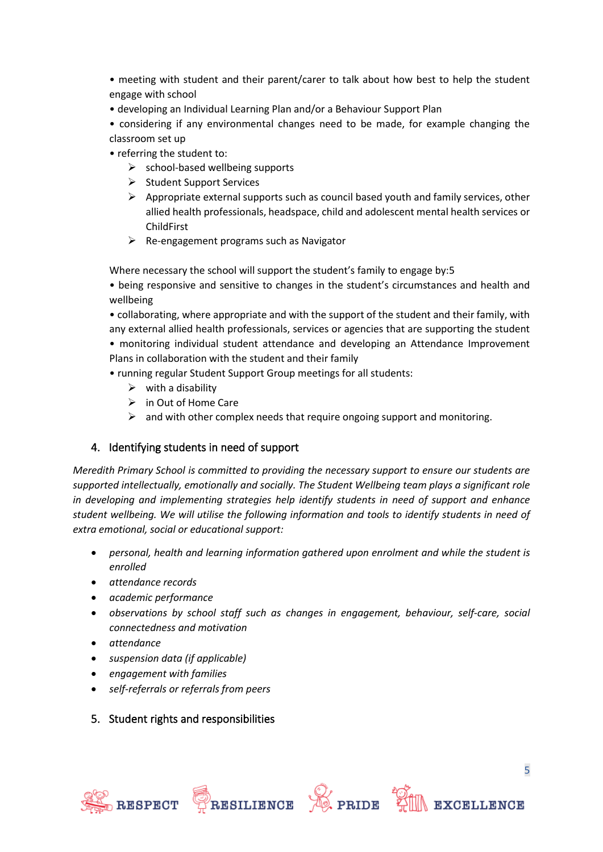• meeting with student and their parent/carer to talk about how best to help the student engage with school

• developing an Individual Learning Plan and/or a Behaviour Support Plan

• considering if any environmental changes need to be made, for example changing the classroom set up

- referring the student to:
	- $\triangleright$  school-based wellbeing supports
	- ➢ Student Support Services
	- $\triangleright$  Appropriate external supports such as council based youth and family services, other allied health professionals, headspace, child and adolescent mental health services or ChildFirst
	- $\triangleright$  Re-engagement programs such as Navigator

Where necessary the school will support the student's family to engage by:5

• being responsive and sensitive to changes in the student's circumstances and health and wellbeing

• collaborating, where appropriate and with the support of the student and their family, with any external allied health professionals, services or agencies that are supporting the student • monitoring individual student attendance and developing an Attendance Improvement Plans in collaboration with the student and their family

- running regular Student Support Group meetings for all students:
	- $\triangleright$  with a disability
	- $\triangleright$  in Out of Home Care
	- $\triangleright$  and with other complex needs that require ongoing support and monitoring.

## 4. Identifying students in need of support

*Meredith Primary School is committed to providing the necessary support to ensure our students are supported intellectually, emotionally and socially. The Student Wellbeing team plays a significant role in developing and implementing strategies help identify students in need of support and enhance student wellbeing. We will utilise the following information and tools to identify students in need of extra emotional, social or educational support:*

- *personal, health and learning information gathered upon enrolment and while the student is enrolled*
- *attendance records*
- *academic performance*
- *observations by school staff such as changes in engagement, behaviour, self-care, social connectedness and motivation*
- *attendance*
- *suspension data (if applicable)*
- *engagement with families*
- *self-referrals or referrals from peers*

## 5. Student rights and responsibilities









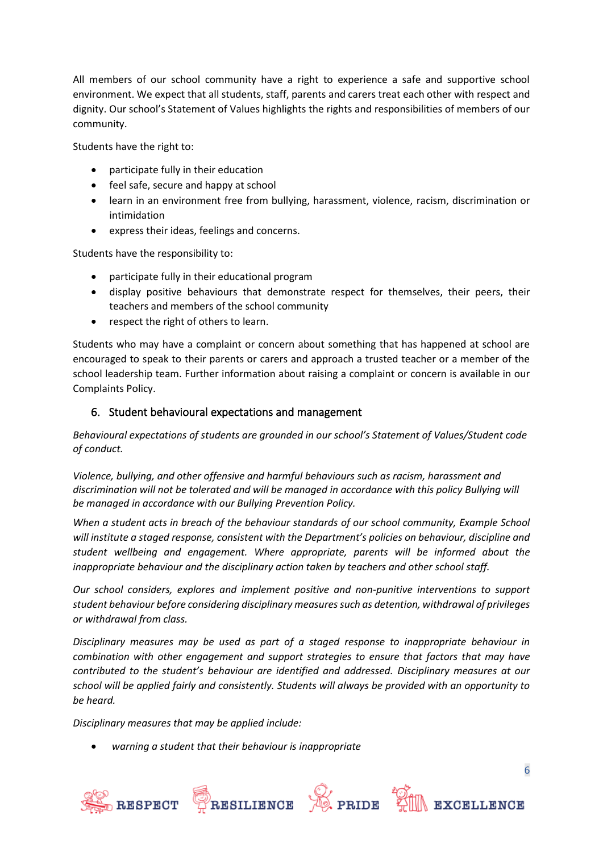All members of our school community have a right to experience a safe and supportive school environment. We expect that all students, staff, parents and carers treat each other with respect and dignity. Our school's Statement of Values highlights the rights and responsibilities of members of our community.

Students have the right to:

- participate fully in their education
- feel safe, secure and happy at school
- learn in an environment free from bullying, harassment, violence, racism, discrimination or intimidation
- express their ideas, feelings and concerns.

Students have the responsibility to:

- participate fully in their educational program
- display positive behaviours that demonstrate respect for themselves, their peers, their teachers and members of the school community
- respect the right of others to learn.

Students who may have a complaint or concern about something that has happened at school are encouraged to speak to their parents or carers and approach a trusted teacher or a member of the school leadership team. Further information about raising a complaint or concern is available in our Complaints Policy.

## 6. Student behavioural expectations and management

*Behavioural expectations of students are grounded in our school's Statement of Values/Student code of conduct.*

*Violence, bullying, and other offensive and harmful behaviours such as racism, harassment and discrimination will not be tolerated and will be managed in accordance with this policy Bullying will be managed in accordance with our Bullying Prevention Policy.*

*When a student acts in breach of the behaviour standards of our school community, Example School will institute a staged response, consistent with the Department's policies on behaviour, discipline and student wellbeing and engagement. Where appropriate, parents will be informed about the inappropriate behaviour and the disciplinary action taken by teachers and other school staff.* 

*Our school considers, explores and implement positive and non-punitive interventions to support student behaviour before considering disciplinary measures such as detention, withdrawal of privileges or withdrawal from class.*

*Disciplinary measures may be used as part of a staged response to inappropriate behaviour in combination with other engagement and support strategies to ensure that factors that may have contributed to the student's behaviour are identified and addressed. Disciplinary measures at our school will be applied fairly and consistently. Students will always be provided with an opportunity to be heard.* 

*Disciplinary measures that may be applied include:*

• *warning a student that their behaviour is inappropriate*



6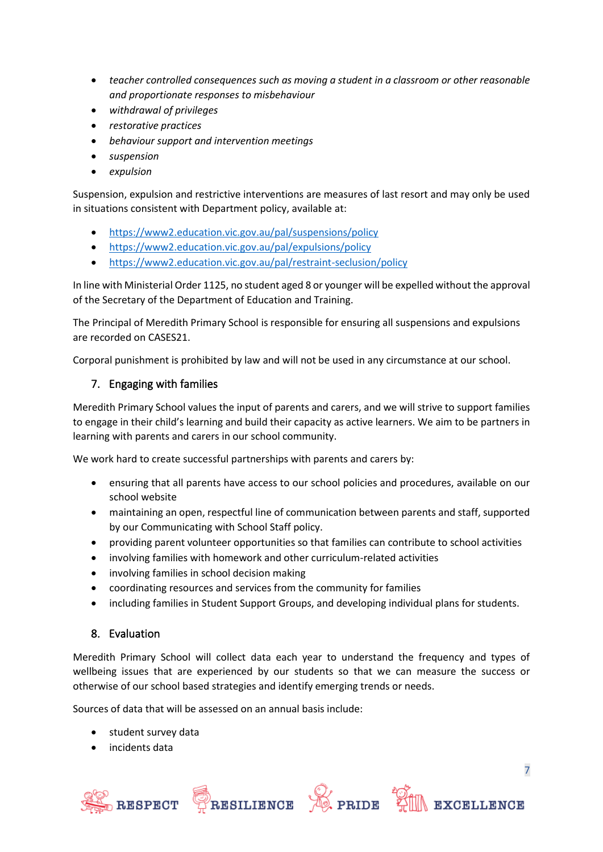- *teacher controlled consequences such as moving a student in a classroom or other reasonable and proportionate responses to misbehaviour*
- *withdrawal of privileges*
- *restorative practices*
- *behaviour support and intervention meetings*
- *suspension*
- *expulsion*

Suspension, expulsion and restrictive interventions are measures of last resort and may only be used in situations consistent with Department policy, available at:

- <https://www2.education.vic.gov.au/pal/suspensions/policy>
- <https://www2.education.vic.gov.au/pal/expulsions/policy>
- <https://www2.education.vic.gov.au/pal/restraint-seclusion/policy>

In line with Ministerial Order 1125, no student aged 8 or younger will be expelled without the approval of the Secretary of the Department of Education and Training.

The Principal of Meredith Primary School is responsible for ensuring all suspensions and expulsions are recorded on CASES21.

Corporal punishment is prohibited by law and will not be used in any circumstance at our school.

# 7. Engaging with families

Meredith Primary School values the input of parents and carers, and we will strive to support families to engage in their child's learning and build their capacity as active learners. We aim to be partners in learning with parents and carers in our school community.

We work hard to create successful partnerships with parents and carers by:

- ensuring that all parents have access to our school policies and procedures, available on our school website
- maintaining an open, respectful line of communication between parents and staff, supported by our Communicating with School Staff policy.
- providing parent volunteer opportunities so that families can contribute to school activities
- involving families with homework and other curriculum-related activities
- involving families in school decision making
- coordinating resources and services from the community for families
- including families in Student Support Groups, and developing individual plans for students.

## 8. Evaluation

Meredith Primary School will collect data each year to understand the frequency and types of wellbeing issues that are experienced by our students so that we can measure the success or otherwise of our school based strategies and identify emerging trends or needs.

Sources of data that will be assessed on an annual basis include:

- student survey data
- incidents data







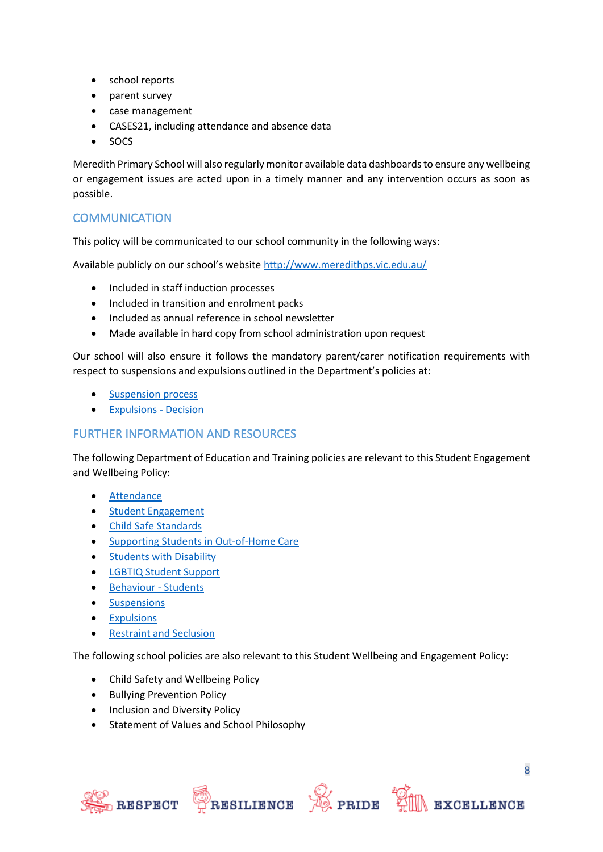- school reports
- parent survey
- case management
- CASES21, including attendance and absence data
- SOCS

Meredith Primary School will also regularly monitor available data dashboards to ensure any wellbeing or engagement issues are acted upon in a timely manner and any intervention occurs as soon as possible.

# **COMMUNICATION**

This policy will be communicated to our school community in the following ways:

Available publicly on our school's website <http://www.meredithps.vic.edu.au/>

- Included in staff induction processes
- Included in transition and enrolment packs
- Included as annual reference in school newsletter
- Made available in hard copy from school administration upon request

Our school will also ensure it follows the mandatory parent/carer notification requirements with respect to suspensions and expulsions outlined in the Department's policies at:

- [Suspension process](https://www2.education.vic.gov.au/pal/suspensions/guidance/1-suspension-process)
- [Expulsions -](https://www2.education.vic.gov.au/pal/expulsions/guidance/decision) Decision

# FURTHER INFORMATION AND RESOURCES

The following Department of Education and Training policies are relevant to this Student Engagement and Wellbeing Policy:

- [Attendance](https://www2.education.vic.gov.au/pal/attendance/policy)
- [Student Engagement](https://www2.education.vic.gov.au/pal/student-engagement/policy)
- [Child Safe Standards](https://www2.education.vic.gov.au/pal/child-safe-standards/policy)
- [Supporting Students in Out-of-Home Care](https://www2.education.vic.gov.au/pal/supporting-students-out-home-care/policy)
- [Students with Disability](https://www2.education.vic.gov.au/pal/students-disability/policy)
- [LGBTIQ Student Support](https://www2.education.vic.gov.au/pal/lgbtiq-student-support/policy)
- [Behaviour](https://www2.education.vic.gov.au/pal/behaviour-students/policy) Students
- [Suspensions](https://www2.education.vic.gov.au/pal/suspensions/policy)
- [Expulsions](https://www2.education.vic.gov.au/pal/expulsions/policy)
- [Restraint and Seclusion](https://www2.education.vic.gov.au/pal/restraint-seclusion/policy)

The following school policies are also relevant to this Student Wellbeing and Engagement Policy:

- Child Safety and Wellbeing Policy
- Bullying Prevention Policy
- Inclusion and Diversity Policy
- Statement of Values and School Philosophy